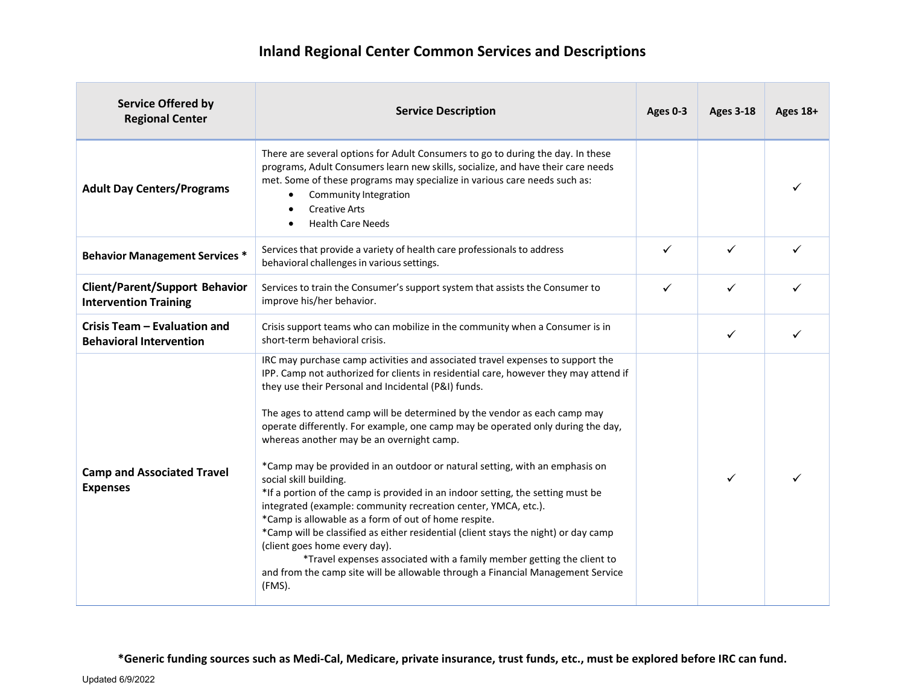| <b>Service Offered by</b><br><b>Regional Center</b>                   | <b>Service Description</b>                                                                                                                                                                                                                                                                                                                                                                                                                                                                                                                                                                                                                                                                                                                                                                                                                                                                                                                                                                                                                                      | Ages 0-3 | <b>Ages 3-18</b> | Ages 18+ |
|-----------------------------------------------------------------------|-----------------------------------------------------------------------------------------------------------------------------------------------------------------------------------------------------------------------------------------------------------------------------------------------------------------------------------------------------------------------------------------------------------------------------------------------------------------------------------------------------------------------------------------------------------------------------------------------------------------------------------------------------------------------------------------------------------------------------------------------------------------------------------------------------------------------------------------------------------------------------------------------------------------------------------------------------------------------------------------------------------------------------------------------------------------|----------|------------------|----------|
| <b>Adult Day Centers/Programs</b>                                     | There are several options for Adult Consumers to go to during the day. In these<br>programs, Adult Consumers learn new skills, socialize, and have their care needs<br>met. Some of these programs may specialize in various care needs such as:<br>Community Integration<br>٠<br><b>Creative Arts</b><br><b>Health Care Needs</b>                                                                                                                                                                                                                                                                                                                                                                                                                                                                                                                                                                                                                                                                                                                              |          |                  |          |
| <b>Behavior Management Services *</b>                                 | Services that provide a variety of health care professionals to address<br>behavioral challenges in various settings.                                                                                                                                                                                                                                                                                                                                                                                                                                                                                                                                                                                                                                                                                                                                                                                                                                                                                                                                           | ✓        | ✓                |          |
| <b>Client/Parent/Support Behavior</b><br><b>Intervention Training</b> | Services to train the Consumer's support system that assists the Consumer to<br>improve his/her behavior.                                                                                                                                                                                                                                                                                                                                                                                                                                                                                                                                                                                                                                                                                                                                                                                                                                                                                                                                                       | ✓        | ✓                |          |
| Crisis Team - Evaluation and<br><b>Behavioral Intervention</b>        | Crisis support teams who can mobilize in the community when a Consumer is in<br>short-term behavioral crisis.                                                                                                                                                                                                                                                                                                                                                                                                                                                                                                                                                                                                                                                                                                                                                                                                                                                                                                                                                   |          | ✓                |          |
| <b>Camp and Associated Travel</b><br><b>Expenses</b>                  | IRC may purchase camp activities and associated travel expenses to support the<br>IPP. Camp not authorized for clients in residential care, however they may attend if<br>they use their Personal and Incidental (P&I) funds.<br>The ages to attend camp will be determined by the vendor as each camp may<br>operate differently. For example, one camp may be operated only during the day,<br>whereas another may be an overnight camp.<br>*Camp may be provided in an outdoor or natural setting, with an emphasis on<br>social skill building.<br>*If a portion of the camp is provided in an indoor setting, the setting must be<br>integrated (example: community recreation center, YMCA, etc.).<br>*Camp is allowable as a form of out of home respite.<br>*Camp will be classified as either residential (client stays the night) or day camp<br>(client goes home every day).<br>*Travel expenses associated with a family member getting the client to<br>and from the camp site will be allowable through a Financial Management Service<br>(FMS). |          | ✓                |          |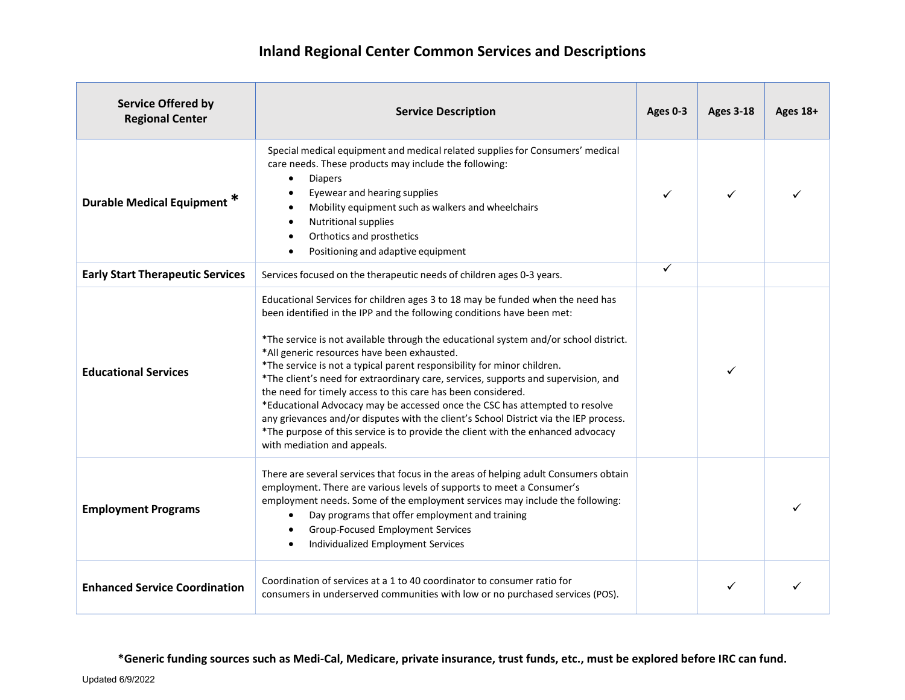| <b>Service Offered by</b><br><b>Regional Center</b> | <b>Service Description</b>                                                                                                                                                                                                                                                                                                                                                                                                                                                                                                                                                                                                                                                                                                                                                                                                  | Ages 0-3 | <b>Ages 3-18</b> | Ages 18+ |
|-----------------------------------------------------|-----------------------------------------------------------------------------------------------------------------------------------------------------------------------------------------------------------------------------------------------------------------------------------------------------------------------------------------------------------------------------------------------------------------------------------------------------------------------------------------------------------------------------------------------------------------------------------------------------------------------------------------------------------------------------------------------------------------------------------------------------------------------------------------------------------------------------|----------|------------------|----------|
| Durable Medical Equipment <sup>*</sup>              | Special medical equipment and medical related supplies for Consumers' medical<br>care needs. These products may include the following:<br><b>Diapers</b><br>Eyewear and hearing supplies<br>Mobility equipment such as walkers and wheelchairs<br>$\bullet$<br>Nutritional supplies<br>$\bullet$<br>Orthotics and prosthetics<br>$\bullet$<br>Positioning and adaptive equipment                                                                                                                                                                                                                                                                                                                                                                                                                                            |          | ✓                |          |
| <b>Early Start Therapeutic Services</b>             | Services focused on the therapeutic needs of children ages 0-3 years.                                                                                                                                                                                                                                                                                                                                                                                                                                                                                                                                                                                                                                                                                                                                                       | ✓        |                  |          |
| <b>Educational Services</b>                         | Educational Services for children ages 3 to 18 may be funded when the need has<br>been identified in the IPP and the following conditions have been met:<br>*The service is not available through the educational system and/or school district.<br>*All generic resources have been exhausted.<br>*The service is not a typical parent responsibility for minor children.<br>*The client's need for extraordinary care, services, supports and supervision, and<br>the need for timely access to this care has been considered.<br>*Educational Advocacy may be accessed once the CSC has attempted to resolve<br>any grievances and/or disputes with the client's School District via the IEP process.<br>*The purpose of this service is to provide the client with the enhanced advocacy<br>with mediation and appeals. |          | ✓                |          |
| <b>Employment Programs</b>                          | There are several services that focus in the areas of helping adult Consumers obtain<br>employment. There are various levels of supports to meet a Consumer's<br>employment needs. Some of the employment services may include the following:<br>Day programs that offer employment and training<br>Group-Focused Employment Services<br>Individualized Employment Services                                                                                                                                                                                                                                                                                                                                                                                                                                                 |          |                  |          |
| <b>Enhanced Service Coordination</b>                | Coordination of services at a 1 to 40 coordinator to consumer ratio for<br>consumers in underserved communities with low or no purchased services (POS).                                                                                                                                                                                                                                                                                                                                                                                                                                                                                                                                                                                                                                                                    |          |                  |          |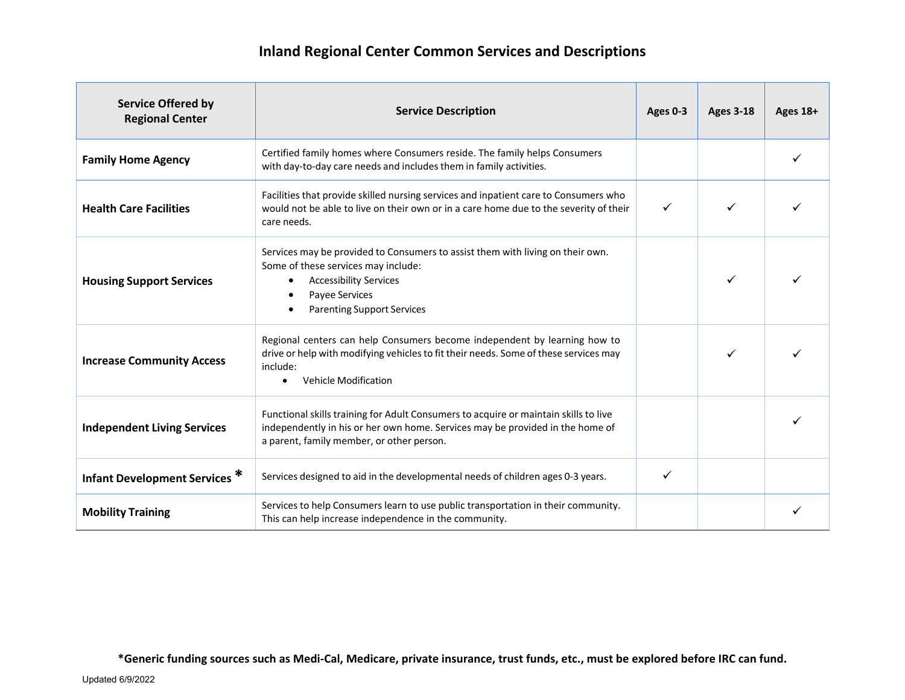| <b>Service Offered by</b><br><b>Regional Center</b> | <b>Service Description</b>                                                                                                                                                                                                | Ages 0-3     | <b>Ages 3-18</b> | Ages 18+ |
|-----------------------------------------------------|---------------------------------------------------------------------------------------------------------------------------------------------------------------------------------------------------------------------------|--------------|------------------|----------|
| <b>Family Home Agency</b>                           | Certified family homes where Consumers reside. The family helps Consumers<br>with day-to-day care needs and includes them in family activities.                                                                           |              |                  |          |
| <b>Health Care Facilities</b>                       | Facilities that provide skilled nursing services and inpatient care to Consumers who<br>would not be able to live on their own or in a care home due to the severity of their<br>care needs.                              | $\checkmark$ | ✓                |          |
| <b>Housing Support Services</b>                     | Services may be provided to Consumers to assist them with living on their own.<br>Some of these services may include:<br><b>Accessibility Services</b><br>٠<br>Payee Services<br><b>Parenting Support Services</b>        |              | ✓                |          |
| <b>Increase Community Access</b>                    | Regional centers can help Consumers become independent by learning how to<br>drive or help with modifying vehicles to fit their needs. Some of these services may<br>include:<br><b>Vehicle Modification</b><br>$\bullet$ |              |                  |          |
| <b>Independent Living Services</b>                  | Functional skills training for Adult Consumers to acquire or maintain skills to live<br>independently in his or her own home. Services may be provided in the home of<br>a parent, family member, or other person.        |              |                  |          |
| <b>Infant Development Services *</b>                | Services designed to aid in the developmental needs of children ages 0-3 years.                                                                                                                                           | ✓            |                  |          |
| <b>Mobility Training</b>                            | Services to help Consumers learn to use public transportation in their community.<br>This can help increase independence in the community.                                                                                |              |                  |          |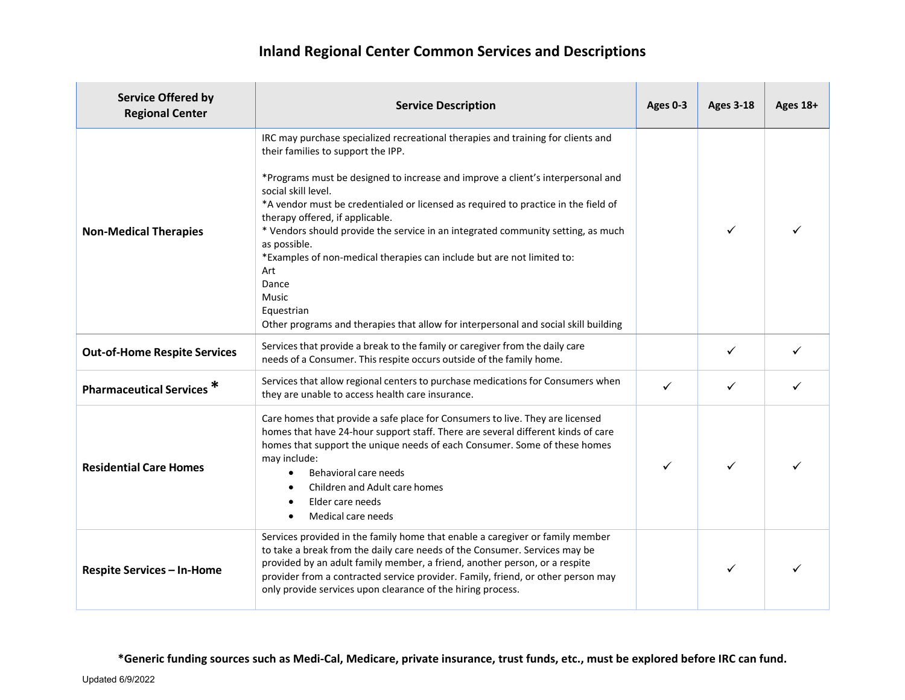## **Inland Regional Center Common Services and Descriptions**

| <b>Service Offered by</b><br><b>Regional Center</b> | <b>Service Description</b>                                                                                                                                                                                                                                                                                                                                                                                                                                                                                                                                                                                                                                                   | Ages 0-3 | <b>Ages 3-18</b> | Ages 18+ |
|-----------------------------------------------------|------------------------------------------------------------------------------------------------------------------------------------------------------------------------------------------------------------------------------------------------------------------------------------------------------------------------------------------------------------------------------------------------------------------------------------------------------------------------------------------------------------------------------------------------------------------------------------------------------------------------------------------------------------------------------|----------|------------------|----------|
| <b>Non-Medical Therapies</b>                        | IRC may purchase specialized recreational therapies and training for clients and<br>their families to support the IPP.<br>*Programs must be designed to increase and improve a client's interpersonal and<br>social skill level.<br>*A vendor must be credentialed or licensed as required to practice in the field of<br>therapy offered, if applicable.<br>* Vendors should provide the service in an integrated community setting, as much<br>as possible.<br>*Examples of non-medical therapies can include but are not limited to:<br>Art<br>Dance<br><b>Music</b><br>Equestrian<br>Other programs and therapies that allow for interpersonal and social skill building |          | ✓                |          |
| <b>Out-of-Home Respite Services</b>                 | Services that provide a break to the family or caregiver from the daily care<br>needs of a Consumer. This respite occurs outside of the family home.                                                                                                                                                                                                                                                                                                                                                                                                                                                                                                                         |          | ✓                |          |
| Pharmaceutical Services <sup>*</sup>                | Services that allow regional centers to purchase medications for Consumers when<br>they are unable to access health care insurance.                                                                                                                                                                                                                                                                                                                                                                                                                                                                                                                                          | ✓        | ✓                |          |
| <b>Residential Care Homes</b>                       | Care homes that provide a safe place for Consumers to live. They are licensed<br>homes that have 24-hour support staff. There are several different kinds of care<br>homes that support the unique needs of each Consumer. Some of these homes<br>may include:<br>Behavioral care needs<br>Children and Adult care homes<br>Elder care needs<br>$\bullet$<br>Medical care needs<br>$\bullet$                                                                                                                                                                                                                                                                                 | ✓        | ✓                |          |
| <b>Respite Services - In-Home</b>                   | Services provided in the family home that enable a caregiver or family member<br>to take a break from the daily care needs of the Consumer. Services may be<br>provided by an adult family member, a friend, another person, or a respite<br>provider from a contracted service provider. Family, friend, or other person may<br>only provide services upon clearance of the hiring process.                                                                                                                                                                                                                                                                                 |          | ✓                |          |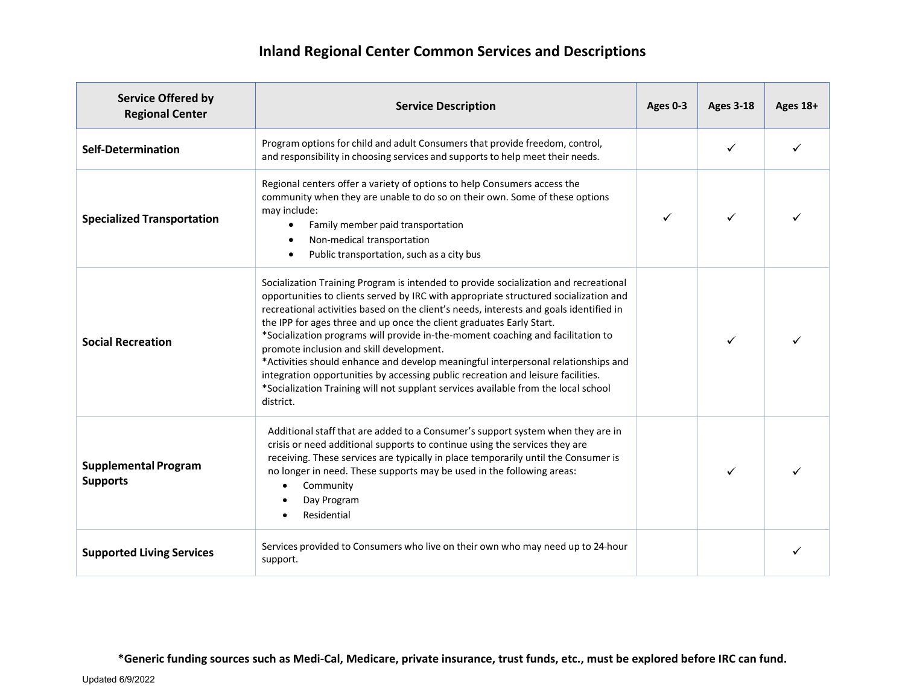## **Inland Regional Center Common Services and Descriptions**

| <b>Service Offered by</b><br><b>Regional Center</b> | <b>Service Description</b>                                                                                                                                                                                                                                                                                                                                                                                                                                                                                                                                                                                                                                                                                                                                | Ages 0-3 | <b>Ages 3-18</b> | Ages 18+ |
|-----------------------------------------------------|-----------------------------------------------------------------------------------------------------------------------------------------------------------------------------------------------------------------------------------------------------------------------------------------------------------------------------------------------------------------------------------------------------------------------------------------------------------------------------------------------------------------------------------------------------------------------------------------------------------------------------------------------------------------------------------------------------------------------------------------------------------|----------|------------------|----------|
| <b>Self-Determination</b>                           | Program options for child and adult Consumers that provide freedom, control,<br>and responsibility in choosing services and supports to help meet their needs.                                                                                                                                                                                                                                                                                                                                                                                                                                                                                                                                                                                            |          | ✓                |          |
| <b>Specialized Transportation</b>                   | Regional centers offer a variety of options to help Consumers access the<br>community when they are unable to do so on their own. Some of these options<br>may include:<br>Family member paid transportation<br>$\bullet$<br>Non-medical transportation<br>Public transportation, such as a city bus                                                                                                                                                                                                                                                                                                                                                                                                                                                      | ✓        | ✓                |          |
| <b>Social Recreation</b>                            | Socialization Training Program is intended to provide socialization and recreational<br>opportunities to clients served by IRC with appropriate structured socialization and<br>recreational activities based on the client's needs, interests and goals identified in<br>the IPP for ages three and up once the client graduates Early Start.<br>*Socialization programs will provide in-the-moment coaching and facilitation to<br>promote inclusion and skill development.<br>*Activities should enhance and develop meaningful interpersonal relationships and<br>integration opportunities by accessing public recreation and leisure facilities.<br>*Socialization Training will not supplant services available from the local school<br>district. |          | ✓                |          |
| <b>Supplemental Program</b><br><b>Supports</b>      | Additional staff that are added to a Consumer's support system when they are in<br>crisis or need additional supports to continue using the services they are<br>receiving. These services are typically in place temporarily until the Consumer is<br>no longer in need. These supports may be used in the following areas:<br>Community<br>$\bullet$<br>Day Program<br>Residential                                                                                                                                                                                                                                                                                                                                                                      |          |                  |          |
| <b>Supported Living Services</b>                    | Services provided to Consumers who live on their own who may need up to 24-hour<br>support.                                                                                                                                                                                                                                                                                                                                                                                                                                                                                                                                                                                                                                                               |          |                  |          |